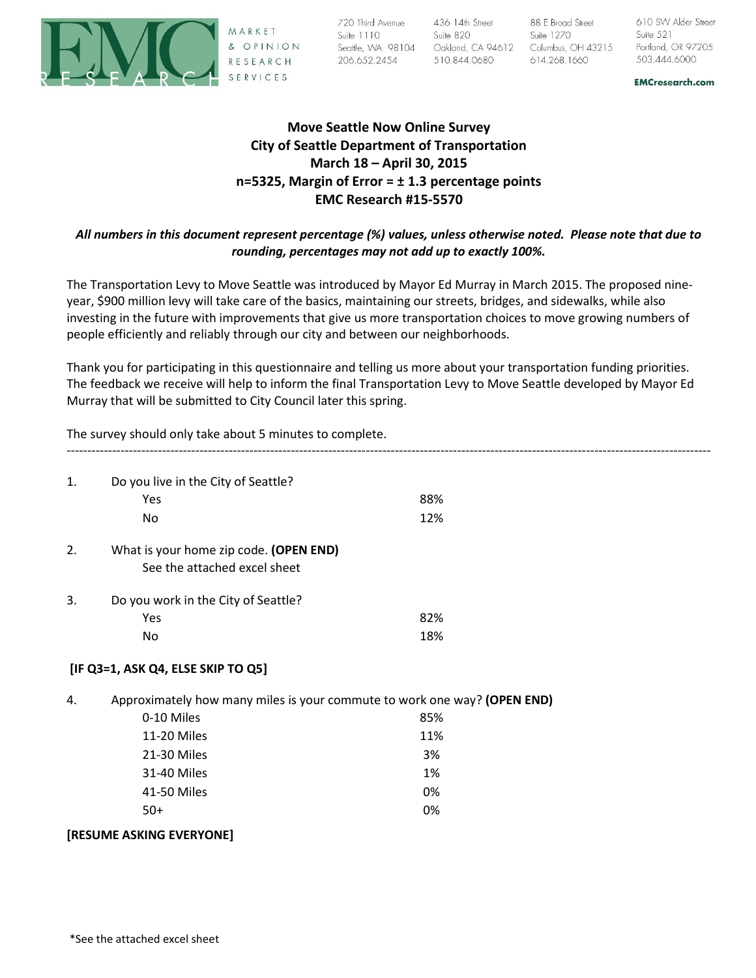

SERVICES

136 | 14th Street<br>
136 | 14th Street<br>
136 | 14th Street<br>
136 | 14th Street<br>
136 | 14th Street<br>
136 | 14th Street<br>
136 | 14th Street<br>
136 | 14th Street<br>
136 | 14th Street<br>
136 | 14th Street<br>
136 | 14th Street<br>
130 | 14th St

**EMCresearch.com** 

# **Move Seattle Now Online Survey City of Seattle Department of Transportation March 18 – April 30, 2015 n=5325, Margin of Error = ± 1.3 percentage points EMC Research #15-5570**

# *All numbers in this document represent percentage (%) values, unless otherwise noted. Please note that due to rounding, percentages may not add up to exactly 100%.*

The Transportation Levy to Move Seattle was introduced by Mayor Ed Murray in March 2015. The proposed nineyear, \$900 million levy will take care of the basics, maintaining our streets, bridges, and sidewalks, while also investing in the future with improvements that give us more transportation choices to move growing numbers of people efficiently and reliably through our city and between our neighborhoods.

Thank you for participating in this questionnaire and telling us more about your transportation funding priorities. The feedback we receive will help to inform the final Transportation Levy to Move Seattle developed by Mayor Ed Murray that will be submitted to City Council later this spring.

The survey should only take about 5 minutes to complete.

| 1. | Do you live in the City of Seattle?                                      |     |  |  |  |  |
|----|--------------------------------------------------------------------------|-----|--|--|--|--|
|    | Yes                                                                      | 88% |  |  |  |  |
|    | No                                                                       | 12% |  |  |  |  |
| 2. | What is your home zip code. (OPEN END)                                   |     |  |  |  |  |
|    | See the attached excel sheet                                             |     |  |  |  |  |
| 3. | Do you work in the City of Seattle?                                      |     |  |  |  |  |
|    | Yes                                                                      | 82% |  |  |  |  |
|    | No                                                                       | 18% |  |  |  |  |
|    | [IF Q3=1, ASK Q4, ELSE SKIP TO Q5]                                       |     |  |  |  |  |
| 4. | Approximately how many miles is your commute to work one way? (OPEN END) |     |  |  |  |  |
|    | 0-10 Miles                                                               | 85% |  |  |  |  |
|    | 11-20 Miles                                                              | 11% |  |  |  |  |
|    | 21-30 Miles                                                              | 3%  |  |  |  |  |
|    | 31-40 Miles                                                              | 1%  |  |  |  |  |
|    | 41-50 Miles                                                              | 0%  |  |  |  |  |
|    | $50+$                                                                    | 0%  |  |  |  |  |
|    | [RESUME ASKING EVERYONE]                                                 |     |  |  |  |  |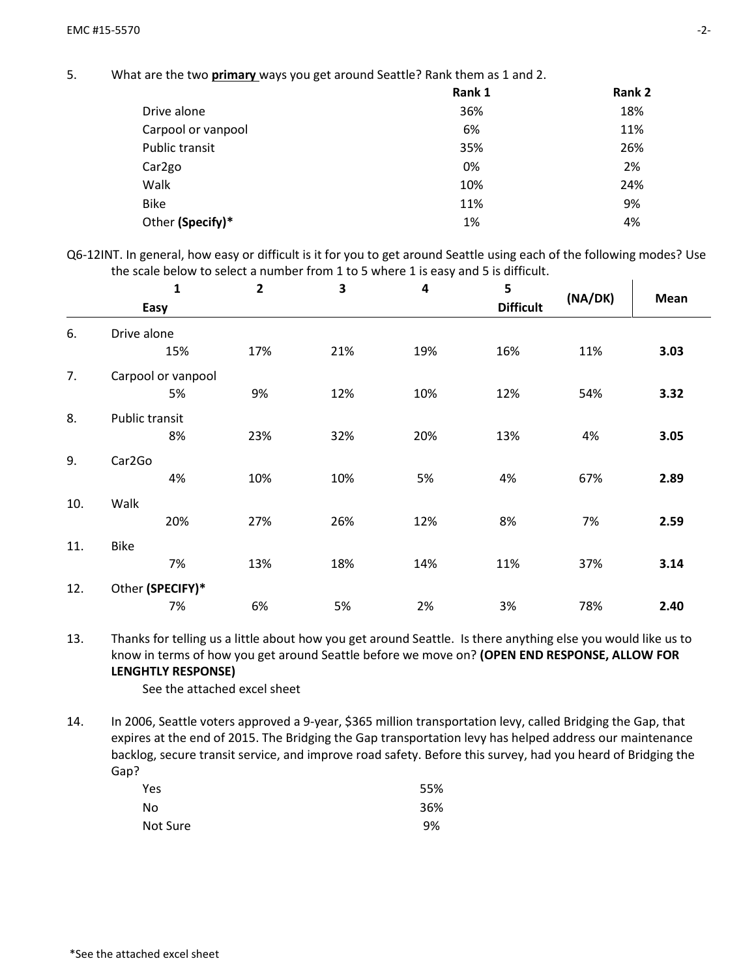5. What are the two **primary** ways you get around Seattle? Rank them as 1 and 2.

|                     | Rank 1 | Rank 2 |
|---------------------|--------|--------|
| Drive alone         | 36%    | 18%    |
| Carpool or vanpool  | 6%     | 11%    |
| Public transit      | 35%    | 26%    |
| Car <sub>2</sub> go | 0%     | 2%     |
| Walk                | 10%    | 24%    |
| <b>Bike</b>         | 11%    | 9%     |
| Other (Specify)*    | 1%     | 4%     |

Q6-12INT. In general, how easy or difficult is it for you to get around Seattle using each of the following modes? Use the scale below to select a number from 1 to 5 where 1 is easy and 5 is difficult.

|     | $\mathbf 1$           | $\overline{\mathbf{c}}$ | 3   | 4   | 5                |         |      |
|-----|-----------------------|-------------------------|-----|-----|------------------|---------|------|
|     | Easy                  |                         |     |     | <b>Difficult</b> | (NA/DK) | Mean |
| 6.  | Drive alone           |                         |     |     |                  |         |      |
|     | 15%                   | 17%                     | 21% | 19% | 16%              | 11%     | 3.03 |
| 7.  | Carpool or vanpool    |                         |     |     |                  |         |      |
|     | 5%                    | 9%                      | 12% | 10% | 12%              | 54%     | 3.32 |
| 8.  | <b>Public transit</b> |                         |     |     |                  |         |      |
|     | 8%                    | 23%                     | 32% | 20% | 13%              | 4%      | 3.05 |
| 9.  | Car2Go                |                         |     |     |                  |         |      |
|     | 4%                    | 10%                     | 10% | 5%  | 4%               | 67%     | 2.89 |
| 10. | Walk                  |                         |     |     |                  |         |      |
|     | 20%                   | 27%                     | 26% | 12% | 8%               | 7%      | 2.59 |
| 11. | <b>Bike</b>           |                         |     |     |                  |         |      |
|     | 7%                    | 13%                     | 18% | 14% | 11%              | 37%     | 3.14 |
| 12. | Other (SPECIFY)*      |                         |     |     |                  |         |      |
|     | 7%                    | 6%                      | 5%  | 2%  | 3%               | 78%     | 2.40 |

13. Thanks for telling us a little about how you get around Seattle. Is there anything else you would like us to know in terms of how you get around Seattle before we move on? **(OPEN END RESPONSE, ALLOW FOR LENGHTLY RESPONSE)**

See the attached excel sheet

14. In 2006, Seattle voters approved a 9-year, \$365 million transportation levy, called Bridging the Gap, that expires at the end of 2015. The Bridging the Gap transportation levy has helped address our maintenance backlog, secure transit service, and improve road safety. Before this survey, had you heard of Bridging the Gap?

| Yes      | 55% |
|----------|-----|
| No       | 36% |
| Not Sure | 9%  |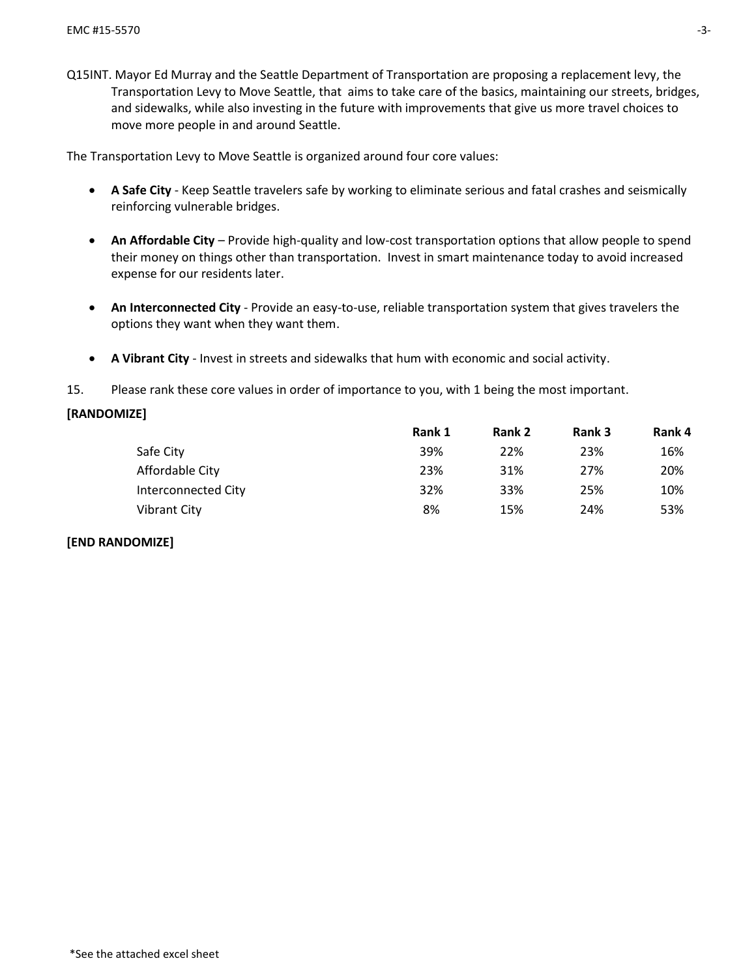Q15INT. Mayor Ed Murray and the Seattle Department of Transportation are proposing a replacement levy, the Transportation Levy to Move Seattle, that aims to take care of the basics, maintaining our streets, bridges, and sidewalks, while also investing in the future with improvements that give us more travel choices to move more people in and around Seattle.

The Transportation Levy to Move Seattle is organized around four core values:

- **A Safe City** Keep Seattle travelers safe by working to eliminate serious and fatal crashes and seismically reinforcing vulnerable bridges.
- **An Affordable City** Provide high-quality and low-cost transportation options that allow people to spend their money on things other than transportation. Invest in smart maintenance today to avoid increased expense for our residents later.
- **An Interconnected City** Provide an easy-to-use, reliable transportation system that gives travelers the options they want when they want them.
- **A Vibrant City** Invest in streets and sidewalks that hum with economic and social activity.
- 15. Please rank these core values in order of importance to you, with 1 being the most important.

#### **[RANDOMIZE]**

|                     | Rank 1 | Rank 2 | Rank 3 | Rank 4 |
|---------------------|--------|--------|--------|--------|
| Safe City           | 39%    | 22%    | 23%    | 16%    |
| Affordable City     | 23%    | 31%    | 27%    | 20%    |
| Interconnected City | 32%    | 33%    | 25%    | 10%    |
| Vibrant City        | 8%     | 15%    | 24%    | 53%    |

#### **[END RANDOMIZE]**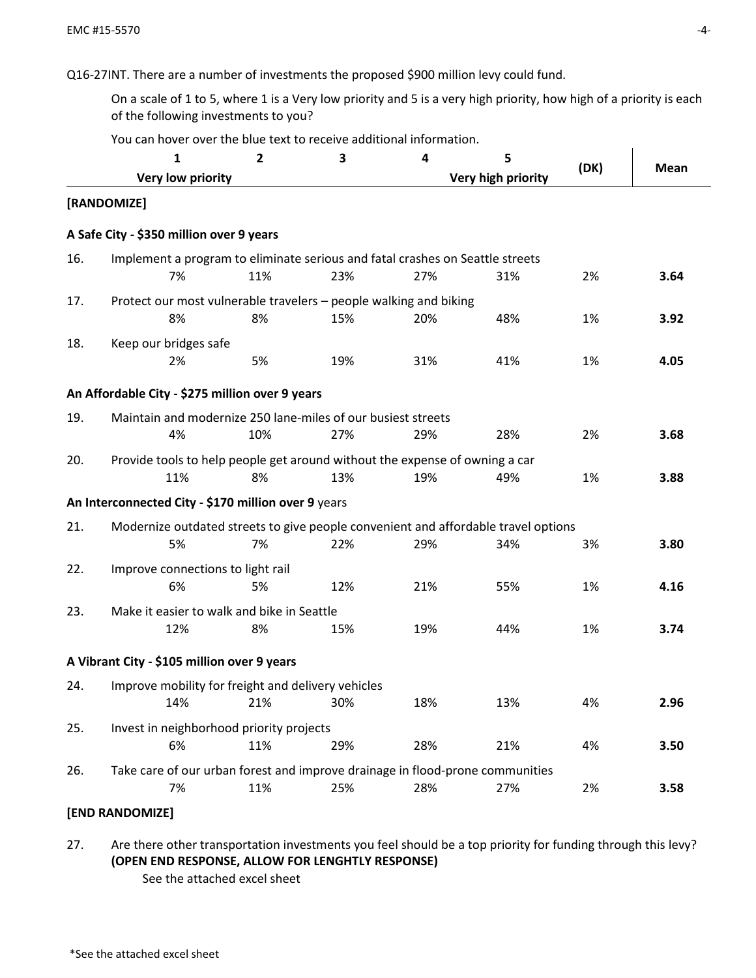Q16-27INT. There are a number of investments the proposed \$900 million levy could fund.

On a scale of 1 to 5, where 1 is a Very low priority and 5 is a very high priority, how high of a priority is each of the following investments to you?

|     | 1                                                                                   | $\overline{2}$ | 3   | 4   | 5                  | (DK) | Mean |
|-----|-------------------------------------------------------------------------------------|----------------|-----|-----|--------------------|------|------|
|     | Very low priority                                                                   |                |     |     | Very high priority |      |      |
|     | [RANDOMIZE]                                                                         |                |     |     |                    |      |      |
|     | A Safe City - \$350 million over 9 years                                            |                |     |     |                    |      |      |
| 16. | Implement a program to eliminate serious and fatal crashes on Seattle streets       |                |     |     |                    |      |      |
|     | 7%                                                                                  | 11%            | 23% | 27% | 31%                | 2%   | 3.64 |
| 17. | Protect our most vulnerable travelers - people walking and biking<br>8%             | 8%             | 15% | 20% | 48%                | 1%   | 3.92 |
| 18. | Keep our bridges safe                                                               |                |     |     |                    |      |      |
|     | 2%                                                                                  | 5%             | 19% | 31% | 41%                | 1%   | 4.05 |
|     | An Affordable City - \$275 million over 9 years                                     |                |     |     |                    |      |      |
| 19. | Maintain and modernize 250 lane-miles of our busiest streets<br>4%                  | 10%            | 27% | 29% | 28%                | 2%   | 3.68 |
| 20. | Provide tools to help people get around without the expense of owning a car<br>11%  | 8%             | 13% | 19% | 49%                | 1%   | 3.88 |
|     | An Interconnected City - \$170 million over 9 years                                 |                |     |     |                    |      |      |
| 21. | Modernize outdated streets to give people convenient and affordable travel options  |                |     |     |                    |      |      |
|     | 5%                                                                                  | 7%             | 22% | 29% | 34%                | 3%   | 3.80 |
| 22. | Improve connections to light rail<br>6%                                             | 5%             | 12% | 21% | 55%                | 1%   | 4.16 |
| 23. | Make it easier to walk and bike in Seattle                                          |                |     |     |                    |      |      |
|     | 12%                                                                                 | 8%             | 15% | 19% | 44%                | 1%   | 3.74 |
|     | A Vibrant City - \$105 million over 9 years                                         |                |     |     |                    |      |      |
| 24. | Improve mobility for freight and delivery vehicles<br>14%                           | 21%            | 30% | 18% | 13%                | 4%   | 2.96 |
| 25. | Invest in neighborhood priority projects<br>6%                                      |                |     |     |                    | 4%   |      |
|     |                                                                                     | 11%            | 29% | 28% | 21%                |      | 3.50 |
| 26. | Take care of our urban forest and improve drainage in flood-prone communities<br>7% | 11%            | 25% | 28% | 27%                | 2%   | 3.58 |
|     |                                                                                     |                |     |     |                    |      |      |

You can hover over the blue text to receive additional information.

**[END RANDOMIZE]** 

27. Are there other transportation investments you feel should be a top priority for funding through this levy? **(OPEN END RESPONSE, ALLOW FOR LENGHTLY RESPONSE)** See the attached excel sheet